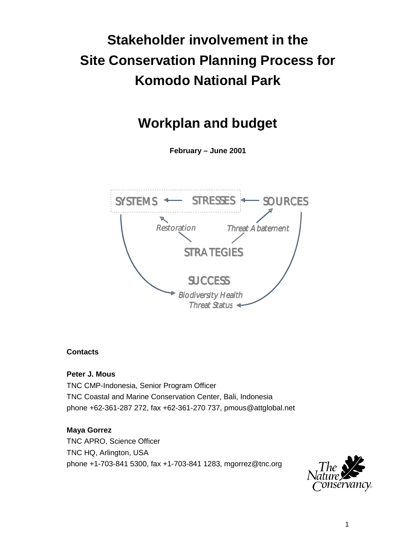# **Stakeholder involvement in the Site Conservation Planning Process for Komodo National Park**

## **Workplan and budget**

**February – June 2001**



## **Contacts**

**Peter J. Mous**

TNC CMP-Indonesia, Senior Program Officer TNC Coastal and Marine Conservation Center, Bali, Indonesia phone +62-361-287 272, fax +62-361-270 737, pmous@attglobal.net

## **Maya Gorrez**

TNC APRO, Science Officer TNC HQ, Arlington, USA phone +1-703-841 5300, fax +1-703-841 1283, mgorrez@tnc.org

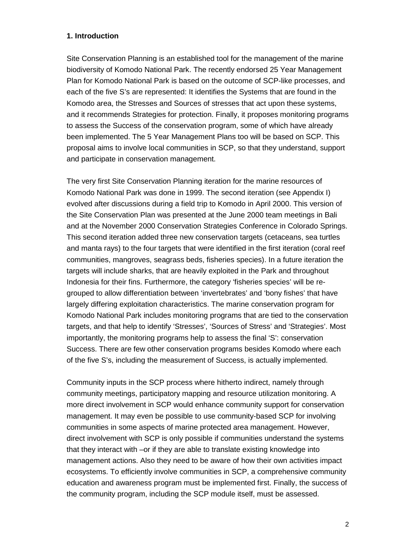#### **1. Introduction**

Site Conservation Planning is an established tool for the management of the marine biodiversity of Komodo National Park. The recently endorsed 25 Year Management Plan for Komodo National Park is based on the outcome of SCP-like processes, and each of the five S's are represented: It identifies the Systems that are found in the Komodo area, the Stresses and Sources of stresses that act upon these systems, and it recommends Strategies for protection. Finally, it proposes monitoring programs to assess the Success of the conservation program, some of which have already been implemented. The 5 Year Management Plans too will be based on SCP. This proposal aims to involve local communities in SCP, so that they understand, support and participate in conservation management.

The very first Site Conservation Planning iteration for the marine resources of Komodo National Park was done in 1999. The second iteration (see Appendix I) evolved after discussions during a field trip to Komodo in April 2000. This version of the Site Conservation Plan was presented at the June 2000 team meetings in Bali and at the November 2000 Conservation Strategies Conference in Colorado Springs. This second iteration added three new conservation targets (cetaceans, sea turtles and manta rays) to the four targets that were identified in the first iteration (coral reef communities, mangroves, seagrass beds, fisheries species). In a future iteration the targets will include sharks, that are heavily exploited in the Park and throughout Indonesia for their fins. Furthermore, the category 'fisheries species' will be regrouped to allow differentiation between 'invertebrates' and 'bony fishes' that have largely differing exploitation characteristics. The marine conservation program for Komodo National Park includes monitoring programs that are tied to the conservation targets, and that help to identify 'Stresses', 'Sources of Stress' and 'Strategies'. Most importantly, the monitoring programs help to assess the final 'S': conservation Success. There are few other conservation programs besides Komodo where each of the five S's, including the measurement of Success, is actually implemented.

Community inputs in the SCP process where hitherto indirect, namely through community meetings, participatory mapping and resource utilization monitoring. A more direct involvement in SCP would enhance community support for conservation management. It may even be possible to use community-based SCP for involving communities in some aspects of marine protected area management. However, direct involvement with SCP is only possible if communities understand the systems that they interact with –or if they are able to translate existing knowledge into management actions. Also they need to be aware of how their own activities impact ecosystems. To efficiently involve communities in SCP, a comprehensive community education and awareness program must be implemented first. Finally, the success of the community program, including the SCP module itself, must be assessed.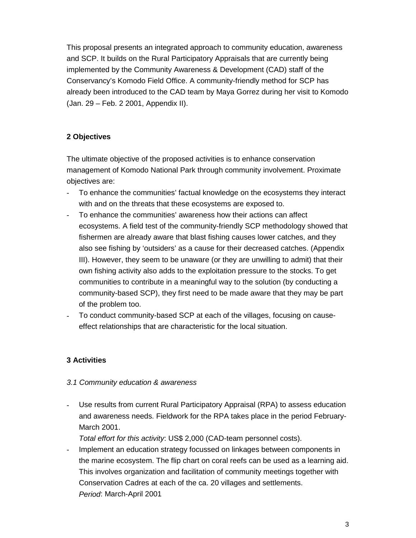This proposal presents an integrated approach to community education, awareness and SCP. It builds on the Rural Participatory Appraisals that are currently being implemented by the Community Awareness & Development (CAD) staff of the Conservancy's Komodo Field Office. A community-friendly method for SCP has already been introduced to the CAD team by Maya Gorrez during her visit to Komodo (Jan. 29 – Feb. 2 2001, Appendix II).

## **2 Objectives**

The ultimate objective of the proposed activities is to enhance conservation management of Komodo National Park through community involvement. Proximate objectives are:

- To enhance the communities' factual knowledge on the ecosystems they interact with and on the threats that these ecosystems are exposed to.
- To enhance the communities' awareness how their actions can affect ecosystems. A field test of the community-friendly SCP methodology showed that fishermen are already aware that blast fishing causes lower catches, and they also see fishing by 'outsiders' as a cause for their decreased catches. (Appendix III). However, they seem to be unaware (or they are unwilling to admit) that their own fishing activity also adds to the exploitation pressure to the stocks. To get communities to contribute in a meaningful way to the solution (by conducting a community-based SCP), they first need to be made aware that they may be part of the problem too.
- To conduct community-based SCP at each of the villages, focusing on causeeffect relationships that are characteristic for the local situation.

## **3 Activities**

## *3.1 Community education & awareness*

Use results from current Rural Participatory Appraisal (RPA) to assess education and awareness needs. Fieldwork for the RPA takes place in the period February-March 2001.

*Total effort for this activity*: US\$ 2,000 (CAD-team personnel costs).

Implement an education strategy focussed on linkages between components in the marine ecosystem. The flip chart on coral reefs can be used as a learning aid. This involves organization and facilitation of community meetings together with Conservation Cadres at each of the ca. 20 villages and settlements. *Period*: March-April 2001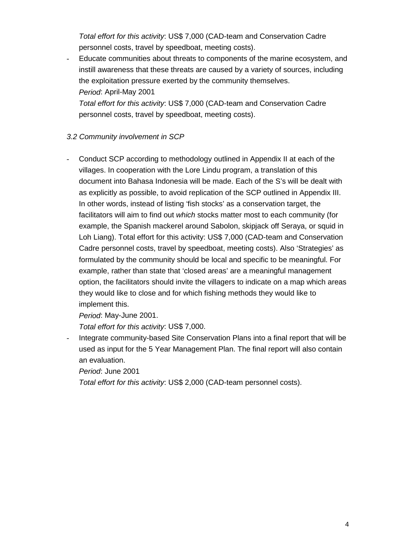*Total effort for this activity*: US\$ 7,000 (CAD-team and Conservation Cadre personnel costs, travel by speedboat, meeting costs).

- Educate communities about threats to components of the marine ecosystem, and instill awareness that these threats are caused by a variety of sources, including the exploitation pressure exerted by the community themselves. *Period*: April-May 2001 *Total effort for this activity*: US\$ 7,000 (CAD-team and Conservation Cadre

personnel costs, travel by speedboat, meeting costs).

## *3.2 Community involvement in SCP*

- Conduct SCP according to methodology outlined in Appendix II at each of the villages. In cooperation with the Lore Lindu program, a translation of this document into Bahasa Indonesia will be made. Each of the S's will be dealt with as explicitly as possible, to avoid replication of the SCP outlined in Appendix III. In other words, instead of listing 'fish stocks' as a conservation target, the facilitators will aim to find out *which* stocks matter most to each community (for example, the Spanish mackerel around Sabolon, skipjack off Seraya, or squid in Loh Liang). Total effort for this activity: US\$ 7,000 (CAD-team and Conservation Cadre personnel costs, travel by speedboat, meeting costs). Also 'Strategies' as formulated by the community should be local and specific to be meaningful. For example, rather than state that 'closed areas' are a meaningful management option, the facilitators should invite the villagers to indicate on a map which areas they would like to close and for which fishing methods they would like to implement this.

*Period*: May-June 2001.

*Total effort for this activity*: US\$ 7,000.

Integrate community-based Site Conservation Plans into a final report that will be used as input for the 5 Year Management Plan. The final report will also contain an evaluation.

*Period*: June 2001

*Total effort for this activity*: US\$ 2,000 (CAD-team personnel costs).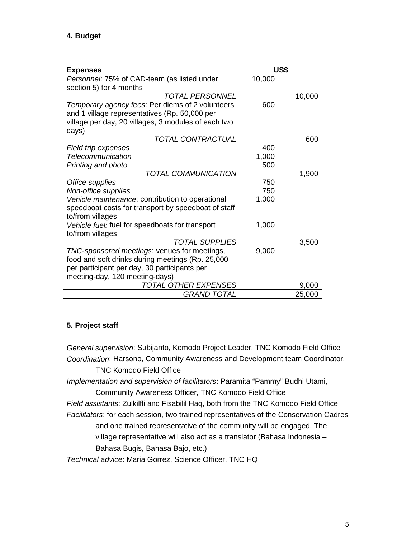| <b>Expenses</b>                                     | US\$   |        |
|-----------------------------------------------------|--------|--------|
| Personnel: 75% of CAD-team (as listed under         | 10,000 |        |
| section 5) for 4 months                             |        |        |
| <i>TOTAL PERSONNEL</i>                              |        | 10,000 |
| Temporary agency fees: Per diems of 2 volunteers    | 600    |        |
| and 1 village representatives (Rp. 50,000 per       |        |        |
| village per day, 20 villages, 3 modules of each two |        |        |
| days)                                               |        |        |
| TOTAL CONTRACTUAL                                   |        | 600    |
| Field trip expenses                                 | 400    |        |
| Telecommunication                                   | 1,000  |        |
| Printing and photo                                  | 500    |        |
| <b>TOTAL COMMUNICATION</b>                          |        | 1,900  |
| Office supplies                                     | 750    |        |
| Non-office supplies                                 | 750    |        |
| Vehicle maintenance: contribution to operational    | 1,000  |        |
| speedboat costs for transport by speedboat of staff |        |        |
| to/from villages                                    |        |        |
| Vehicle fuel: fuel for speedboats for transport     | 1,000  |        |
| to/from villages                                    |        |        |
| <b>TOTAL SUPPLIES</b>                               |        | 3,500  |
| TNC-sponsored meetings: venues for meetings,        | 9,000  |        |
| food and soft drinks during meetings (Rp. 25,000    |        |        |
| per participant per day, 30 participants per        |        |        |
| meeting-day, 120 meeting-days)                      |        |        |
| TOTAL OTHER EXPENSES                                |        | 9,000  |
| <b>GRAND TOTAL</b>                                  |        | 25,000 |

## **5. Project staff**

*General supervision*: Subijanto, Komodo Project Leader, TNC Komodo Field Office *Coordination*: Harsono, Community Awareness and Development team Coordinator, TNC Komodo Field Office

*Implementation and supervision of facilitators*: Paramita "Pammy" Budhi Utami, Community Awareness Officer, TNC Komodo Field Office

*Field assistants*: Zulkilfli and Fisabilil Haq, both from the TNC Komodo Field Office *Facilitators*: for each session, two trained representatives of the Conservation Cadres and one trained representative of the community will be engaged. The village representative will also act as a translator (Bahasa Indonesia – Bahasa Bugis, Bahasa Bajo, etc.)

*Technical advice*: Maria Gorrez, Science Officer, TNC HQ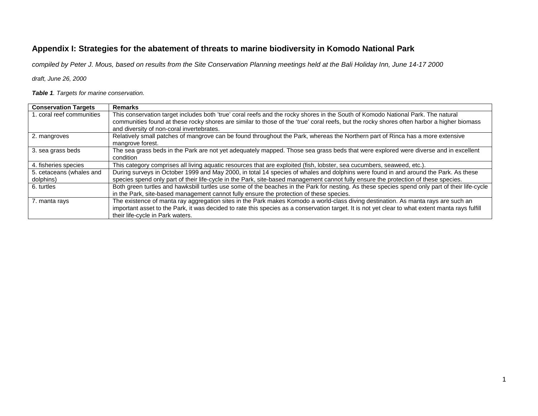## **Appendix I: Strategies for the abatement of threats to marine biodiversity in Komodo National Park**

*compiled by Peter J. Mous, based on results from the Site Conservation Planning meetings held at the Bali Holiday Inn, June 14-17 2000*

*draft, June 26, 2000*

*Table 1. Targets for marine conservation.*

| <b>Conservation Targets</b> | <b>Remarks</b>                                                                                                                                                                          |
|-----------------------------|-----------------------------------------------------------------------------------------------------------------------------------------------------------------------------------------|
| 1. coral reef communities   | This conservation target includes both 'true' coral reefs and the rocky shores in the South of Komodo National Park. The natural                                                        |
|                             | communities found at these rocky shores are similar to those of the 'true' coral reefs, but the rocky shores often harbor a higher biomass<br>and diversity of non-coral invertebrates. |
| 2. mangroves                | Relatively small patches of mangrove can be found throughout the Park, whereas the Northern part of Rinca has a more extensive                                                          |
|                             | mangrove forest.                                                                                                                                                                        |
| 3. sea grass beds           | The sea grass beds in the Park are not yet adequately mapped. Those sea grass beds that were explored were diverse and in excellent                                                     |
|                             | condition                                                                                                                                                                               |
| 4. fisheries species        | This category comprises all living aquatic resources that are exploited (fish, lobster, sea cucumbers, seaweed, etc.).                                                                  |
| 5. cetaceans (whales and    | During surveys in October 1999 and May 2000, in total 14 species of whales and dolphins were found in and around the Park. As these                                                     |
| dolphins)                   | species spend only part of their life-cycle in the Park, site-based management cannot fully ensure the protection of these species.                                                     |
| 6. turtles                  | Both green turtles and hawksbill turtles use some of the beaches in the Park for nesting. As these species spend only part of their life-cycle                                          |
|                             | in the Park, site-based management cannot fully ensure the protection of these species.                                                                                                 |
| 7. manta rays               | The existence of manta ray aggregation sites in the Park makes Komodo a world-class diving destination. As manta rays are such an                                                       |
|                             | important asset to the Park, it was decided to rate this species as a conservation target. It is not yet clear to what extent manta rays fulfill                                        |
|                             | their life-cycle in Park waters.                                                                                                                                                        |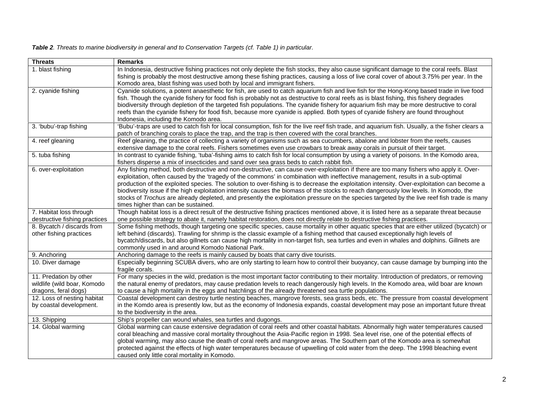|  |  |  | Table 2. Threats to marine biodiversity in general and to Conservation Targets (cf. Table 1) in particular. |  |  |  |
|--|--|--|-------------------------------------------------------------------------------------------------------------|--|--|--|
|  |  |  |                                                                                                             |  |  |  |

| <b>Threats</b>                | <b>Remarks</b>                                                                                                                                                                                                                                        |
|-------------------------------|-------------------------------------------------------------------------------------------------------------------------------------------------------------------------------------------------------------------------------------------------------|
| 1. blast fishing              | In Indonesia, destructive fishing practices not only deplete the fish stocks, they also cause significant damage to the coral reefs. Blast                                                                                                            |
|                               | fishing is probably the most destructive among these fishing practices, causing a loss of live coral cover of about 3.75% per year. In the                                                                                                            |
|                               | Komodo area, blast fishing was used both by local and immigrant fishers.                                                                                                                                                                              |
| 2. cyanide fishing            | Cyanide solutions, a potent anaesthetic for fish, are used to catch aquarium fish and live fish for the Hong-Kong based trade in live food                                                                                                            |
|                               | fish. Though the cyanide fishery for food fish is probably not as destructive to coral reefs as is blast fishing, this fishery degrades                                                                                                               |
|                               | biodiversity through depletion of the targeted fish populations. The cyanide fishery for aquarium fish may be more destructive to coral                                                                                                               |
|                               | reefs than the cyanide fishery for food fish, because more cyanide is applied. Both types of cyanide fishery are found throughout                                                                                                                     |
|                               | Indonesia, including the Komodo area.                                                                                                                                                                                                                 |
| 3. 'bubu'-trap fishing        | 'Bubu'-traps are used to catch fish for local consumption, fish for the live reef fish trade, and aquarium fish. Usually, a the fisher clears a<br>patch of branching corals to place the trap, and the trap is then covered with the coral branches. |
| 4. reef gleaning              | Reef gleaning, the practice of collecting a variety of organisms such as sea cucumbers, abalone and lobster from the reefs, causes                                                                                                                    |
|                               | extensive damage to the coral reefs. Fishers sometimes even use crowbars to break away corals in pursuit of their target.                                                                                                                             |
| 5. tuba fishing               | In contrast to cyanide fishing, 'tuba'-fishing aims to catch fish for local consumption by using a variety of poisons. In the Komodo area,                                                                                                            |
|                               | fishers disperse a mix of insecticides and sand over sea grass beds to catch rabbit fish.                                                                                                                                                             |
| 6. over-exploitation          | Any fishing method, both destructive and non-destructive, can cause over-exploitation if there are too many fishers who apply it. Over-                                                                                                               |
|                               | exploitation, often caused by the 'tragedy of the commons' in combination with ineffective management, results in a sub-optimal                                                                                                                       |
|                               | production of the exploited species. The solution to over-fishing is to decrease the exploitation intensity. Over-exploitation can become a                                                                                                           |
|                               | biodiversity issue if the high exploitation intensity causes the biomass of the stocks to reach dangerously low levels. In Komodo, the                                                                                                                |
|                               | stocks of Trochus are already depleted, and presently the exploitation pressure on the species targeted by the live reef fish trade is many                                                                                                           |
|                               | times higher than can be sustained.                                                                                                                                                                                                                   |
| 7. Habitat loss through       | Though habitat loss is a direct result of the destructive fishing practices mentioned above, it is listed here as a separate threat because                                                                                                           |
| destructive fishing practices | one possible strategy to abate it, namely habitat restoration, does not directly relate to destructive fishing practices.                                                                                                                             |
| 8. Bycatch / discards from    | Some fishing methods, though targeting one specific species, cause mortality in other aquatic species that are either utilized (bycatch) or                                                                                                           |
| other fishing practices       | left behind (discards). Trawling for shrimp is the classic example of a fishing method that caused exceptionally high levels of                                                                                                                       |
|                               | bycatch/discards, but also gillnets can cause high mortality in non-target fish, sea turtles and even in whales and dolphins. Gillnets are<br>commonly used in and around Komodo National Park.                                                       |
| 9. Anchoring                  | Anchoring damage to the reefs is mainly caused by boats that carry dive tourists.                                                                                                                                                                     |
| 10. Diver damage              | Especially beginning SCUBA divers, who are only starting to learn how to control their buoyancy, can cause damage by bumping into the                                                                                                                 |
|                               | fragile corals.                                                                                                                                                                                                                                       |
| 11. Predation by other        | For many species in the wild, predation is the most important factor contributing to their mortality. Introduction of predators, or removing                                                                                                          |
| wildlife (wild boar, Komodo   | the natural enemy of predators, may cause predation levels to reach dangerously high levels. In the Komodo area, wild boar are known                                                                                                                  |
| dragons, feral dogs)          | to cause a high mortality in the eggs and hatchlings of the already threatened sea turtle populations.                                                                                                                                                |
| 12. Loss of nesting habitat   | Coastal development can destroy turtle nesting beaches, mangrove forests, sea grass beds, etc. The pressure from coastal development                                                                                                                  |
| by coastal development.       | in the Komdo area is presently low, but as the economy of Indonesia expands, coastal development may pose an important future threat                                                                                                                  |
|                               | to the biodiversity in the area.                                                                                                                                                                                                                      |
| 13. Shipping                  | Ship's propeller can wound whales, sea turtles and dugongs.                                                                                                                                                                                           |
| 14. Global warming            | Global warming can cause extensive degradation of coral reefs and other coastal habitats. Abnormally high water temperatures caused                                                                                                                   |
|                               | coral bleaching and massive coral mortality throughout the Asia-Pacific region in 1998. Sea level rise, one of the potential effects of                                                                                                               |
|                               | global warming, may also cause the death of coral reefs and mangrove areas. The Southern part of the Komodo area is somewhat                                                                                                                          |
|                               | protected against the effects of high water temperatures because of upwelling of cold water from the deep. The 1998 bleaching event                                                                                                                   |
|                               | caused only little coral mortality in Komodo.                                                                                                                                                                                                         |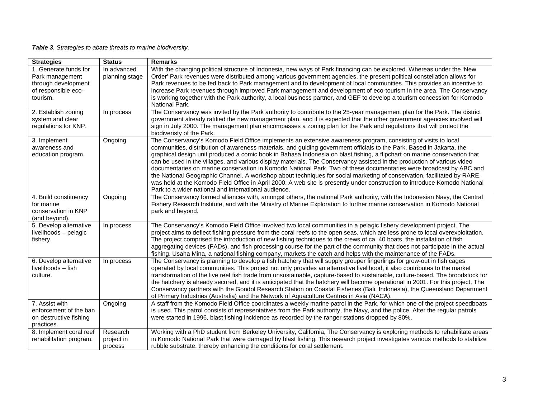*Table 3. Strategies to abate threats to marine biodiversity.*

| <b>Strategies</b>                                                                                  | <b>Status</b>                     | <b>Remarks</b>                                                                                                                                                                                                                                                                                                                                                                                                                                                                                                                                                                                                                                                                                                                                                                                                                                                                                                                         |
|----------------------------------------------------------------------------------------------------|-----------------------------------|----------------------------------------------------------------------------------------------------------------------------------------------------------------------------------------------------------------------------------------------------------------------------------------------------------------------------------------------------------------------------------------------------------------------------------------------------------------------------------------------------------------------------------------------------------------------------------------------------------------------------------------------------------------------------------------------------------------------------------------------------------------------------------------------------------------------------------------------------------------------------------------------------------------------------------------|
| 1. Generate funds for<br>Park management<br>through development<br>of responsible eco-<br>tourism. | In advanced<br>planning stage     | With the changing political structure of Indonesia, new ways of Park financing can be explored. Whereas under the 'New<br>Order' Park revenues were distributed among various government agencies, the present political constellation allows for<br>Park revenues to be fed back to Park management and to development of local communities. This provides an incentive to<br>increase Park revenues through improved Park management and development of eco-tourism in the area. The Conservancy<br>is working together with the Park authority, a local business partner, and GEF to develop a tourism concession for Komodo<br>National Park.                                                                                                                                                                                                                                                                                      |
| 2. Establish zoning<br>system and clear<br>regulations for KNP.                                    | In process                        | The Conservancy was invited by the Park authority to contribute to the 25-year management plan for the Park. The district<br>government already ratified the new management plan, and it is expected that the other government agencies involved will<br>sign in July 2000. The management plan encompasses a zoning plan for the Park and regulations that will protect the<br>biodiveristy of the Park.                                                                                                                                                                                                                                                                                                                                                                                                                                                                                                                              |
| 3. Implement<br>awareness and<br>education program.                                                | Ongoing                           | The Conservancy's Komodo Field Office implements an extensive awareness program, consisting of visits to local<br>communities, distribution of awareness materials, and guiding government officials to the Park. Based in Jakarta, the<br>graphical design unit produced a comic book in Bahasa Indonesia on blast fishing, a flipchart on marine conservation that<br>can be used in the villages, and various display materials. The Conservancy assisted in the production of various video<br>documentaries on marine conservation in Komodo National Park. Two of these documentaries were broadcast by ABC and<br>the National Geographic Channel. A workshop about techniques for social marketing of conservation, facilitated by RARE,<br>was held at the Komodo Field Office in April 2000. A web site is presently under construction to introduce Komodo National<br>Park to a wider national and international audience. |
| 4. Build constituency<br>for marine<br>conservation in KNP<br>(and beyond).                        | Ongoing                           | The Conservancy formed alliances with, amongst others, the national Park authority, with the Indonesian Navy, the Central<br>Fishery Research Institute, and with the Ministry of Marine Exploration to further marine conservation in Komodo National<br>park and beyond.                                                                                                                                                                                                                                                                                                                                                                                                                                                                                                                                                                                                                                                             |
| 5. Develop alternative<br>livelihoods - pelagic<br>fishery.                                        | In process                        | The Conservancy's Komodo Field Office involved two local communities in a pelagic fishery development project. The<br>project aims to deflect fishing pressure from the coral reefs to the open seas, which are less prone to local overexploitation.<br>The project comprised the introduction of new fishing techniques to the crews of ca. 40 boats, the installation of fish<br>aggregating devices (FADs), and fish processing course for the part of the community that does not participate in the actual<br>fishing. Usaha Mina, a national fishing company, markets the catch and helps with the maintenance of the FADs.                                                                                                                                                                                                                                                                                                     |
| 6. Develop alternative<br>livelihoods - fish<br>culture.                                           | In process                        | The Conservancy is planning to develop a fish hatchery that will supply grouper fingerlings for grow-out in fish cages<br>operated by local communities. This project not only provides an alternative livelihood, it also contributes to the market<br>transformation of the live reef fish trade from unsustainable, capture-based to sustainable, culture-based. The broodstock for<br>the hatchery is already secured, and it is anticipated that the hatchery will become operational in 2001. For this project, The<br>Conservancy partners with the Gondol Research Station on Coastal Fisheries (Bali, Indonesia), the Queensland Department<br>of Primary Industries (Australia) and the Network of Aquaculture Centres in Asia (NACA).                                                                                                                                                                                       |
| 7. Assist with<br>enforcement of the ban<br>on destructive fishing<br>practices.                   | Ongoing                           | A staff from the Komodo Field Office coordinates a weekly marine patrol in the Park, for which one of the project speedboats<br>is used. This patrol consists of representatives from the Park authority, the Navy, and the police. After the regular patrols<br>were started in 1996, blast fishing incidence as recorded by the ranger stations dropped by 80%.                                                                                                                                                                                                                                                                                                                                                                                                                                                                                                                                                                      |
| 8. Implement coral reef<br>rehabilitation program.                                                 | Research<br>project in<br>process | Working with a PhD student from Berkeley University, California, The Conservancy is exploring methods to rehabilitate areas<br>in Komodo National Park that were damaged by blast fishing. This research project investigates various methods to stabilize<br>rubble substrate, thereby enhancing the conditions for coral settlement.                                                                                                                                                                                                                                                                                                                                                                                                                                                                                                                                                                                                 |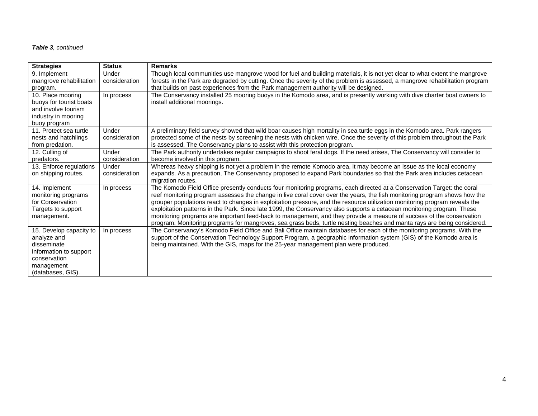#### *Table 3, continued*

| <b>Strategies</b>          | <b>Status</b> | <b>Remarks</b>                                                                                                                                                                                                                                    |
|----------------------------|---------------|---------------------------------------------------------------------------------------------------------------------------------------------------------------------------------------------------------------------------------------------------|
| 9. Implement               | Under         | Though local communities use mangrove wood for fuel and building materials, it is not yet clear to what extent the mangrove                                                                                                                       |
| mangrove rehabilitation    | consideration | forests in the Park are degraded by cutting. Once the severity of the problem is assessed, a mangrove rehabilitation program                                                                                                                      |
| program.                   |               | that builds on past experiences from the Park management authority will be designed.                                                                                                                                                              |
| 10. Place mooring          | In process    | The Conservancy installed 25 mooring buoys in the Komodo area, and is presently working with dive charter boat owners to                                                                                                                          |
| buoys for tourist boats    |               | install additional moorings.                                                                                                                                                                                                                      |
| and involve tourism        |               |                                                                                                                                                                                                                                                   |
| industry in mooring        |               |                                                                                                                                                                                                                                                   |
| buoy program               |               |                                                                                                                                                                                                                                                   |
| 11. Protect sea turtle     | Under         | A preliminary field survey showed that wild boar causes high mortality in sea turtle eggs in the Komodo area. Park rangers                                                                                                                        |
| nests and hatchlings       | consideration | protected some of the nests by screening the nests with chicken wire. Once the severity of this problem throughout the Park                                                                                                                       |
| from predation.            |               | is assessed, The Conservancy plans to assist with this protection program.                                                                                                                                                                        |
| 12. Culling of             | Under         | The Park authority undertakes regular campaigns to shoot feral dogs. If the need arises, The Conservancy will consider to                                                                                                                         |
| predators.                 | consideration | become involved in this program.                                                                                                                                                                                                                  |
| 13. Enforce regulations    | Under         | Whereas heavy shipping is not yet a problem in the remote Komodo area, it may become an issue as the local economy                                                                                                                                |
| on shipping routes.        | consideration | expands. As a precaution, The Conservancy proposed to expand Park boundaries so that the Park area includes cetacean                                                                                                                              |
|                            |               | migration routes.                                                                                                                                                                                                                                 |
| 14. Implement              | In process    | The Komodo Field Office presently conducts four monitoring programs, each directed at a Conservation Target: the coral                                                                                                                            |
| monitoring programs        |               | reef monitoring program assesses the change in live coral cover over the years, the fish monitoring program shows how the                                                                                                                         |
| for Conservation           |               | grouper populations react to changes in exploitation pressure, and the resource utilization monitoring program reveals the                                                                                                                        |
| Targets to support         |               | exploitation patterns in the Park. Since late 1999, the Conservancy also supports a cetacean monitoring program. These                                                                                                                            |
| management.                |               | monitoring programs are important feed-back to management, and they provide a measure of success of the conservation                                                                                                                              |
|                            |               | program. Monitoring programs for mangroves, sea grass beds, turtle nesting beaches and manta rays are being considered.<br>The Conservancy's Komodo Field Office and Bali Office maintain databases for each of the monitoring programs. With the |
| 15. Develop capacity to    | In process    | support of the Conservation Technology Support Program, a geographic information system (GIS) of the Komodo area is                                                                                                                               |
| analyze and<br>disseminate |               | being maintained. With the GIS, maps for the 25-year management plan were produced.                                                                                                                                                               |
| information to support     |               |                                                                                                                                                                                                                                                   |
| conservation               |               |                                                                                                                                                                                                                                                   |
| management                 |               |                                                                                                                                                                                                                                                   |
| (databases, GIS).          |               |                                                                                                                                                                                                                                                   |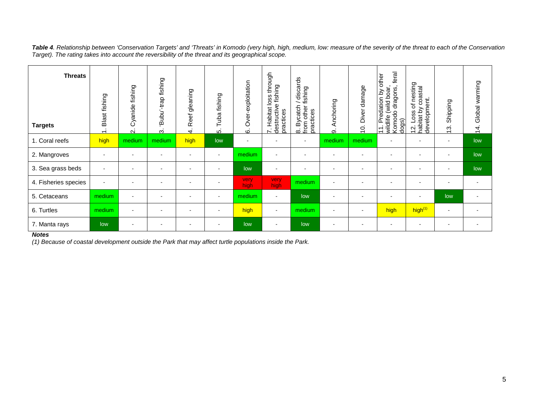*Table 4. Relationship between 'Conservation Targets' and 'Threats' in Komodo (very high, high, medium, low: measure of the severity of the threat to each of the Conservation Target). The rating takes into account the reversibility of the threat and its geographical scope.*

| <b>Threats</b><br><b>Targets</b> | Blast fishing<br>$\div$  | fishing<br>Cyanide<br>$\overline{\mathsf{N}}$ | fishing<br>-trap<br>'Bubu'<br><u>ന്</u> | Reef gleaning<br>4.      | Tuba fishing<br>ທ່       | exploitation<br>ە<br>δ<br>6 | through<br>fishing<br>w<br>ë<br>structive<br>Habitat<br>practices<br>ë<br>$\sim$ | discards<br>fishing<br>Bycatch<br>other<br>practices<br>ង<br><u>៤០</u><br>២ | nchoring<br>⋖<br>တ       | damage<br>Diver<br>$\overline{C}$ | feral<br>other<br>dragons,<br>boar,<br>á<br>Predation<br>(wild<br>Komodo<br>wildlife<br>dogs)<br>$\overline{1}$ | of nesting<br>y coastal<br>12. Loss of ne:<br>habitat by coas<br>development. | Shipping<br>$\ddot{5}$   | Global warming<br>$\overline{4}$ . |
|----------------------------------|--------------------------|-----------------------------------------------|-----------------------------------------|--------------------------|--------------------------|-----------------------------|----------------------------------------------------------------------------------|-----------------------------------------------------------------------------|--------------------------|-----------------------------------|-----------------------------------------------------------------------------------------------------------------|-------------------------------------------------------------------------------|--------------------------|------------------------------------|
| 1. Coral reefs                   | high                     | medium                                        | medium                                  | high                     | low                      | $\overline{\phantom{a}}$    |                                                                                  | $\overline{\phantom{a}}$                                                    | medium                   | medium                            | ۰                                                                                                               |                                                                               |                          | low                                |
| 2. Mangroves                     |                          |                                               | ÷                                       |                          | $\blacksquare$           | medium                      |                                                                                  | $\overline{\phantom{a}}$                                                    |                          |                                   | ۰                                                                                                               |                                                                               |                          | low                                |
| 3. Sea grass beds                | $\overline{\phantom{a}}$ | $\overline{\phantom{0}}$                      | $\blacksquare$                          | $\overline{\phantom{0}}$ | $\overline{\phantom{a}}$ | low                         | $\overline{\phantom{a}}$                                                         | $\overline{\phantom{a}}$                                                    | $\overline{\phantom{0}}$ |                                   | $\blacksquare$                                                                                                  |                                                                               | -                        | low                                |
| 4. Fisheries species             |                          |                                               |                                         |                          |                          | very.<br>high.              | very<br>high                                                                     | medium                                                                      |                          |                                   | ٠                                                                                                               |                                                                               |                          | $\overline{\phantom{0}}$           |
| 5. Cetaceans                     | medium                   |                                               | ٠                                       |                          | $\overline{\phantom{a}}$ | medium                      | $\overline{\phantom{a}}$                                                         | low                                                                         |                          |                                   | $\overline{\phantom{a}}$                                                                                        |                                                                               | low                      | $\sim$                             |
| 6. Turtles                       | medium                   |                                               | ٠                                       |                          | $\overline{\phantom{a}}$ | high                        | $\overline{\phantom{a}}$                                                         | medium                                                                      | ٠                        |                                   | high                                                                                                            | high <sup>(1)</sup>                                                           | $\overline{\phantom{a}}$ | $\overline{\phantom{a}}$           |
| 7. Manta rays                    | low                      |                                               | ٠                                       |                          | $\overline{\phantom{0}}$ | low                         | $\blacksquare$                                                                   | low                                                                         |                          |                                   | ۰                                                                                                               |                                                                               | -                        | $\sim$                             |

#### *Notes*

*(1) Because of coastal development outside the Park that may affect turtle populations inside the Park.*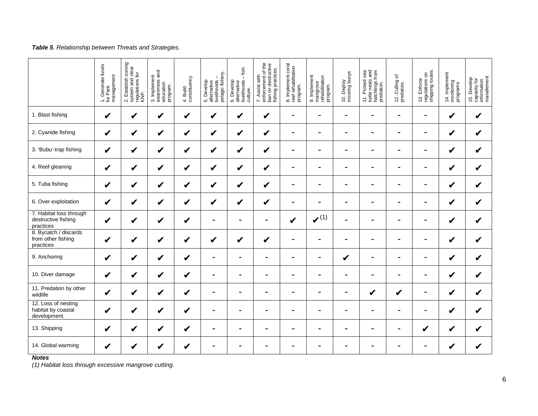#### *Table 5. Relationship between Threats and Strategies.*

|                                                             | 1. Generate funds<br>for Park<br>management | 2. Establish zoning<br>system and clear<br>regulations for<br>KNP. | 3. Implement<br>awareness and<br>education<br>program | 4. Build<br>constituency | livelihoods -<br>pelagic fishery.<br>5. Develop<br>alternative | $-$ fish<br>6. Develop<br>alternative<br>livelihoods -<br>culture. | enforcement of the<br>ban on destructive<br>fishing practices.<br>7. Assist with | 8. Implement coral<br>reef rehabilitation<br>program | 9. Implement<br>mangrove<br>rehabilitation<br>program. | 10. Deploy<br>mooring buoys | 11. Protect sea<br>turtle nests and<br>hatchlings from<br>predation. | 12. Culling of<br>predators. | 13. Enforce<br>regulations on<br>shipping routes. | 14. Implement<br>monitoring<br>programs | 15. Develop<br>capacity for<br>information<br>manafement |
|-------------------------------------------------------------|---------------------------------------------|--------------------------------------------------------------------|-------------------------------------------------------|--------------------------|----------------------------------------------------------------|--------------------------------------------------------------------|----------------------------------------------------------------------------------|------------------------------------------------------|--------------------------------------------------------|-----------------------------|----------------------------------------------------------------------|------------------------------|---------------------------------------------------|-----------------------------------------|----------------------------------------------------------|
| 1. Blast fishing                                            | $\boldsymbol{\mathscr{C}}$                  | V                                                                  | V                                                     | V                        | V                                                              | V                                                                  | $\checkmark$                                                                     | $\blacksquare$                                       | $\blacksquare$                                         | $\blacksquare$              | $\blacksquare$                                                       | $\blacksquare$               | $\blacksquare$                                    | V                                       | $\boldsymbol{\mathcal{U}}$                               |
| 2. Cyanide fishing                                          | $\boldsymbol{\mathcal{U}}$                  | V                                                                  | V                                                     | V                        | V                                                              | V                                                                  | $\checkmark$                                                                     | $\blacksquare$                                       | $\overline{\phantom{0}}$                               | $\blacksquare$              | $\blacksquare$                                                       | $\blacksquare$               | $\blacksquare$                                    | V                                       | $\boldsymbol{\mathcal{U}}$                               |
| 3. 'Bubu'-trap fishing                                      | $\boldsymbol{\nu}$                          | V                                                                  | V                                                     | V                        | V                                                              | V                                                                  | $\boldsymbol{\mathscr{C}}$                                                       | $\blacksquare$                                       | ٠                                                      | $\blacksquare$              | $\overline{\phantom{a}}$                                             | $\blacksquare$               | $\blacksquare$                                    | V                                       | V                                                        |
| 4. Reef gleaning                                            | $\boldsymbol{\nu}$                          | V                                                                  | V                                                     | V                        | V                                                              | V                                                                  | $\checkmark$                                                                     | $\blacksquare$                                       | $\overline{\phantom{0}}$                               | $\blacksquare$              | $\blacksquare$                                                       | $\blacksquare$               | $\blacksquare$                                    | V                                       | $\mathbf v$                                              |
| 5. Tuba fishing                                             | $\boldsymbol{\nu}$                          | V                                                                  | V                                                     | V                        | V                                                              | V                                                                  | $\checkmark$                                                                     |                                                      |                                                        |                             |                                                                      |                              |                                                   | V                                       | $\checkmark$                                             |
| 6. Over-exploitation                                        | $\boldsymbol{\mathcal{U}}$                  | V                                                                  | $\checkmark$                                          | V                        | V                                                              | V                                                                  | $\checkmark$                                                                     | $\blacksquare$                                       | ٠                                                      | ۰                           | $\overline{\phantom{0}}$                                             | $\blacksquare$               | $\blacksquare$                                    | V                                       | V                                                        |
| 7. Habitat loss through<br>destructive fishing<br>practices | $\boldsymbol{\nu}$                          | V                                                                  | $\checkmark$                                          | V                        | $\blacksquare$                                                 | $\blacksquare$                                                     | $\blacksquare$                                                                   | V                                                    | $\boldsymbol{\nu}^{(1)}$                               |                             |                                                                      |                              |                                                   | V                                       | V                                                        |
| 8. Bycatch / discards<br>from other fishing<br>practices    | $\boldsymbol{\mathcal{U}}$                  | V                                                                  | $\boldsymbol{v}$                                      | V                        | V                                                              | V                                                                  | $\checkmark$                                                                     | $\blacksquare$                                       | ٠                                                      | ۰                           | $\overline{\phantom{0}}$                                             | ۰                            | ۰                                                 | V                                       | $\checkmark$                                             |
| 9. Anchoring                                                | $\boldsymbol{\mathcal{U}}$                  | V                                                                  | $\checkmark$                                          | V                        | $\blacksquare$                                                 | $\blacksquare$                                                     | $\blacksquare$                                                                   | $\blacksquare$                                       | ٠                                                      | V                           | $\blacksquare$                                                       | $\blacksquare$               | $\blacksquare$                                    | V                                       | V                                                        |
| 10. Diver damage                                            | $\boldsymbol{\nu}$                          | V                                                                  | V                                                     | V                        | $\blacksquare$                                                 | $\blacksquare$                                                     | $\blacksquare$                                                                   | $\overline{\phantom{0}}$                             |                                                        | ۰                           | $\overline{\phantom{0}}$                                             | $\blacksquare$               | ۰                                                 | V                                       | V                                                        |
| 11. Predation by other<br>wildlife                          | $\boldsymbol{\nu}$                          | V                                                                  | $\checkmark$                                          | V                        | $\blacksquare$                                                 | $\blacksquare$                                                     | $\blacksquare$                                                                   |                                                      |                                                        | $\blacksquare$              | V                                                                    | V                            | $\blacksquare$                                    | V                                       | $\boldsymbol{\mathcal{U}}$                               |
| 12. Loss of nesting<br>habitat by coastal<br>development.   | $\checkmark$                                | V                                                                  | V                                                     | V                        | $\blacksquare$                                                 | $\blacksquare$                                                     | $\blacksquare$                                                                   | $\overline{\phantom{0}}$                             |                                                        | $\blacksquare$              | $\overline{\phantom{0}}$                                             | -                            | $\overline{\phantom{0}}$                          | V                                       | V                                                        |
| 13. Shipping                                                | $\boldsymbol{\mathscr{C}}$                  | ✔                                                                  | V                                                     | V                        | $\blacksquare$                                                 | $\blacksquare$                                                     | $\blacksquare$                                                                   | $\blacksquare$                                       | ٠                                                      | ۰                           | $\blacksquare$                                                       | $\blacksquare$               | V                                                 | V                                       | V                                                        |
| 14. Global warming                                          | $\boldsymbol{\mathscr{C}}$                  | V                                                                  | V                                                     | V                        | $\blacksquare$                                                 | -                                                                  | $\blacksquare$                                                                   |                                                      |                                                        | -                           | ۰                                                                    | -                            | ۰                                                 |                                         | ✔                                                        |

*Notes*

*(1) Habitat loss through excessive mangrove cutting.*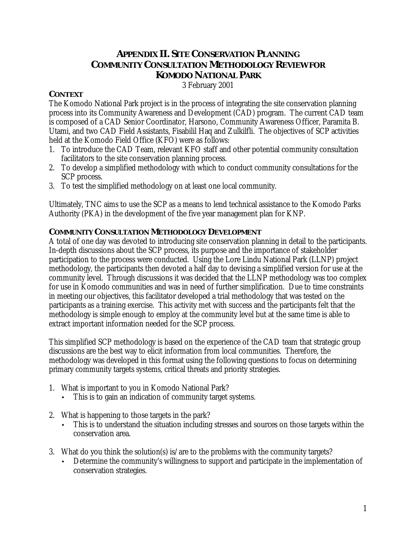## **APPENDIX II. SITE CONSERVATION PLANNING COMMUNITY CONSULTATION METHODOLOGY REVIEW FOR KOMODO NATIONAL PARK**

3 February 2001

## **CONTEXT**

The Komodo National Park project is in the process of integrating the site conservation planning process into its Community Awareness and Development (CAD) program. The current CAD team is composed of a CAD Senior Coordinator, Harsono, Community Awareness Officer, Paramita B. Utami, and two CAD Field Assistants, Fisabilil Haq and Zulkilfli. The objectives of SCP activities held at the Komodo Field Office (KFO) were as follows:

- 1. To introduce the CAD Team, relevant KFO staff and other potential community consultation facilitators to the site conservation planning process.
- 2. To develop a simplified methodology with which to conduct community consultations for the SCP process.
- 3. To test the simplified methodology on at least one local community.

Ultimately, TNC aims to use the SCP as a means to lend technical assistance to the Komodo Parks Authority (PKA) in the development of the five year management plan for KNP.

## **COMMUNITY CONSULTATION METHODOLOGY DEVELOPMENT**

A total of one day was devoted to introducing site conservation planning in detail to the participants. In-depth discussions about the SCP process, its purpose and the importance of stakeholder participation to the process were conducted. Using the Lore Lindu National Park (LLNP) project methodology, the participants then devoted a half day to devising a simplified version for use at the community level. Through discussions it was decided that the LLNP methodology was too complex for use in Komodo communities and was in need of further simplification. Due to time constraints in meeting our objectives, this facilitator developed a trial methodology that was tested on the participants as a training exercise. This activity met with success and the participants felt that the methodology is simple enough to employ at the community level but at the same time is able to extract important information needed for the SCP process.

This simplified SCP methodology is based on the experience of the CAD team that strategic group discussions are the best way to elicit information from local communities. Therefore, the methodology was developed in this format using the following questions to focus on determining primary community targets systems, critical threats and priority strategies.

- 1. What is important to you in Komodo National Park?
	- This is to gain an indication of community target systems.
- 2. What is happening to those targets in the park?
	- This is to understand the situation including stresses and sources on those targets within the conservation area.
- 3. What do you think the solution(s) is/are to the problems with the community targets?
	- Determine the community's willingness to support and participate in the implementation of conservation strategies.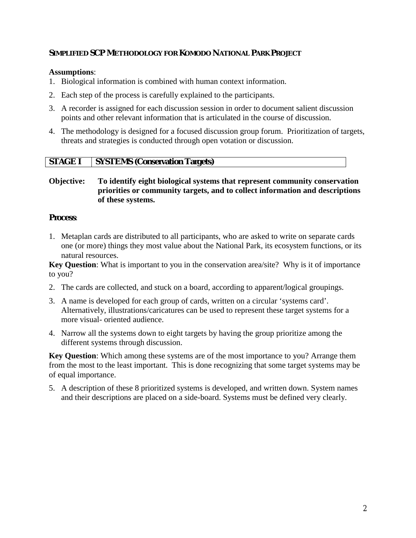## **SIMPLIFIED SCP METHODOLOGY FOR KOMODO NATIONAL PARK PROJECT**

## **Assumptions**:

- 1. Biological information is combined with human context information.
- 2. Each step of the process is carefully explained to the participants.
- 3. A recorder is assigned for each discussion session in order to document salient discussion points and other relevant information that is articulated in the course of discussion.
- 4. The methodology is designed for a focused discussion group forum. Prioritization of targets, threats and strategies is conducted through open votation or discussion.

## **STAGE I SYSTEMS (Conservation Targets)**

## **Objective: To identify eight biological systems that represent community conservation priorities or community targets, and to collect information and descriptions of these systems.**

## **Process**:

1. Metaplan cards are distributed to all participants, who are asked to write on separate cards one (or more) things they most value about the National Park, its ecosystem functions, or its natural resources.

**Key Question**: What is important to you in the conservation area/site? Why is it of importance to you?

- 2. The cards are collected, and stuck on a board, according to apparent/logical groupings.
- 3. A name is developed for each group of cards, written on a circular 'systems card'. Alternatively, illustrations/caricatures can be used to represent these target systems for a more visual- oriented audience.
- 4. Narrow all the systems down to eight targets by having the group prioritize among the different systems through discussion.

**Key Question**: Which among these systems are of the most importance to you? Arrange them from the most to the least important. This is done recognizing that some target systems may be of equal importance.

5. A description of these 8 prioritized systems is developed, and written down. System names and their descriptions are placed on a side-board. Systems must be defined very clearly.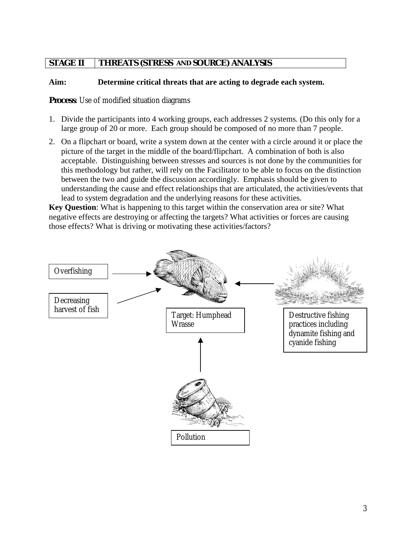## **STAGE II THREATS (STRESS AND SOURCE) ANALYSIS**

## **Aim: Determine critical threats that are acting to degrade each system.**

## **Process**: Use of modified situation diagrams

- 1. Divide the participants into 4 working groups, each addresses 2 systems. (Do this only for a large group of 20 or more. Each group should be composed of no more than 7 people.
- 2. On a flipchart or board, write a system down at the center with a circle around it or place the picture of the target in the middle of the board/flipchart. A combination of both is also acceptable. Distinguishing between stresses and sources is not done by the communities for this methodology but rather, will rely on the Facilitator to be able to focus on the distinction between the two and guide the discussion accordingly. Emphasis should be given to understanding the cause and effect relationships that are articulated, the activities/events that lead to system degradation and the underlying reasons for these activities.

**Key Question**: What is happening to this target within the conservation area or site? What negative effects are destroying or affecting the targets? What activities or forces are causing those effects? What is driving or motivating these activities/factors?

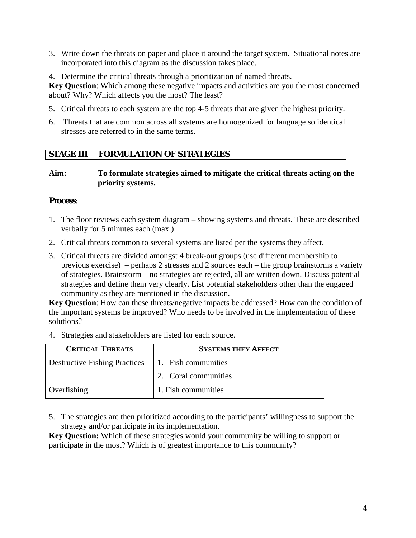- 3. Write down the threats on paper and place it around the target system. Situational notes are incorporated into this diagram as the discussion takes place.
- 4. Determine the critical threats through a prioritization of named threats.

**Key Question**: Which among these negative impacts and activities are you the most concerned about? Why? Which affects you the most? The least?

- 5. Critical threats to each system are the top 4-5 threats that are given the highest priority.
- 6. Threats that are common across all systems are homogenized for language so identical stresses are referred to in the same terms.

## **STAGE III FORMULATION OF STRATEGIES**

## **Aim: To formulate strategies aimed to mitigate the critical threats acting on the priority systems.**

## **Process**:

- 1. The floor reviews each system diagram showing systems and threats. These are described verbally for 5 minutes each (max.)
- 2. Critical threats common to several systems are listed per the systems they affect.
- 3. Critical threats are divided amongst 4 break-out groups (use different membership to previous exercise) – perhaps 2 stresses and 2 sources each – the group brainstorms a variety of strategies. Brainstorm – no strategies are rejected, all are written down. Discuss potential strategies and define them very clearly. List potential stakeholders other than the engaged community as they are mentioned in the discussion.

**Key Question**: How can these threats/negative impacts be addressed? How can the condition of the important systems be improved? Who needs to be involved in the implementation of these solutions?

4. Strategies and stakeholders are listed for each source.

| <b>CRITICAL THREATS</b>              | <b>SYSTEMS THEY AFFECT</b> |
|--------------------------------------|----------------------------|
| <b>Destructive Fishing Practices</b> | 1. Fish communities        |
|                                      | 2. Coral communities       |
| Overfishing                          | 1. Fish communities        |

5. The strategies are then prioritized according to the participants' willingness to support the strategy and/or participate in its implementation.

**Key Question:** Which of these strategies would your community be willing to support or participate in the most? Which is of greatest importance to this community?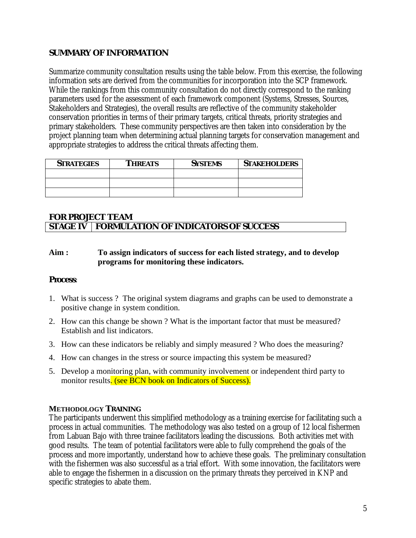## **SUMMARY OF INFORMATION**

Summarize community consultation results using the table below. From this exercise, the following information sets are derived from the communities for incorporation into the SCP framework. While the rankings from this community consultation do not directly correspond to the ranking parameters used for the assessment of each framework component (Systems, Stresses, Sources, Stakeholders and Strategies), the overall results are reflective of the community stakeholder conservation priorities in terms of their primary targets, critical threats, priority strategies and primary stakeholders. These community perspectives are then taken into consideration by the project planning team when determining actual planning targets for conservation management and appropriate strategies to address the critical threats affecting them.

| <b>STRATEGIES</b> | <b>THREATS</b> | <b>SYSTEMS</b> | <b>STAKEHOLDERS</b> |  |  |  |  |
|-------------------|----------------|----------------|---------------------|--|--|--|--|
|                   |                |                |                     |  |  |  |  |
|                   |                |                |                     |  |  |  |  |
|                   |                |                |                     |  |  |  |  |

## **FOR PROJECT TEAM STAGE IV FORMULATION OF INDICATORS OF SUCCESS**

## **Aim : To assign indicators of success for each listed strategy, and to develop programs for monitoring these indicators.**

## **Process**:

- 1. What is success ? The original system diagrams and graphs can be used to demonstrate a positive change in system condition.
- 2. How can this change be shown ? What is the important factor that must be measured? Establish and list indicators.
- 3. How can these indicators be reliably and simply measured ? Who does the measuring?
- 4. How can changes in the stress or source impacting this system be measured?
- 5. Develop a monitoring plan, with community involvement or independent third party to monitor results. (see BCN book on Indicators of Success).

## **METHODOLOGY TRAINING**

The participants underwent this simplified methodology as a training exercise for facilitating such a process in actual communities. The methodology was also tested on a group of 12 local fishermen from Labuan Bajo with three trainee facilitators leading the discussions. Both activities met with good results. The team of potential facilitators were able to fully comprehend the goals of the process and more importantly, understand how to achieve these goals. The preliminary consultation with the fishermen was also successful as a trial effort. With some innovation, the facilitators were able to engage the fishermen in a discussion on the primary threats they perceived in KNP and specific strategies to abate them.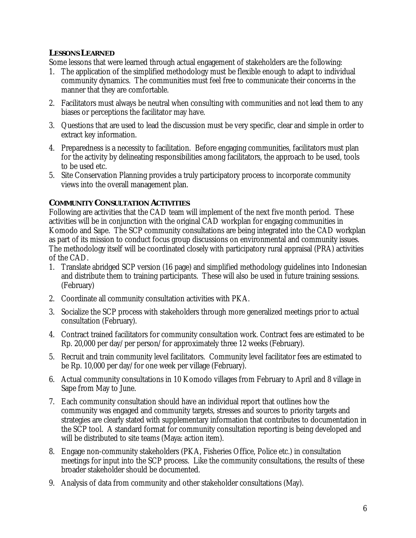## **LESSONS LEARNED**

Some lessons that were learned through actual engagement of stakeholders are the following:

- 1. The application of the simplified methodology must be flexible enough to adapt to individual community dynamics. The communities must feel free to communicate their concerns in the manner that they are comfortable.
- 2. Facilitators must always be neutral when consulting with communities and not lead them to any biases or perceptions the facilitator may have.
- 3. Questions that are used to lead the discussion must be very specific, clear and simple in order to extract key information.
- 4. Preparedness is a necessity to facilitation. Before engaging communities, facilitators must plan for the activity by delineating responsibilities among facilitators, the approach to be used, tools to be used etc.
- 5. Site Conservation Planning provides a truly participatory process to incorporate community views into the overall management plan.

## **COMMUNITY CONSULTATION ACTIVITIES**

Following are activities that the CAD team will implement of the next five month period. These activities will be in conjunction with the original CAD workplan for engaging communities in Komodo and Sape. The SCP community consultations are being integrated into the CAD workplan as part of its mission to conduct focus group discussions on environmental and community issues. The methodology itself will be coordinated closely with participatory rural appraisal (PRA) activities of the CAD.

- 1. Translate abridged SCP version (16 page) and simplified methodology guidelines into Indonesian and distribute them to training participants. These will also be used in future training sessions. (February)
- 2. Coordinate all community consultation activities with PKA.
- 3. Socialize the SCP process with stakeholders through more generalized meetings prior to actual consultation (February).
- 4. Contract trained facilitators for community consultation work. Contract fees are estimated to be Rp. 20,000 per day/per person/for approximately three 12 weeks (February).
- 5. Recruit and train community level facilitators. Community level facilitator fees are estimated to be Rp. 10,000 per day/for one week per village (February).
- 6. Actual community consultations in 10 Komodo villages from February to April and 8 village in Sape from May to June.
- 7. Each community consultation should have an individual report that outlines how the community was engaged and community targets, stresses and sources to priority targets and strategies are clearly stated with supplementary information that contributes to documentation in the SCP tool. A standard format for community consultation reporting is being developed and will be distributed to site teams (Maya: action item).
- 8. Engage non-community stakeholders (PKA, Fisheries Office, Police etc.) in consultation meetings for input into the SCP process. Like the community consultations, the results of these broader stakeholder should be documented.
- 9. Analysis of data from community and other stakeholder consultations (May).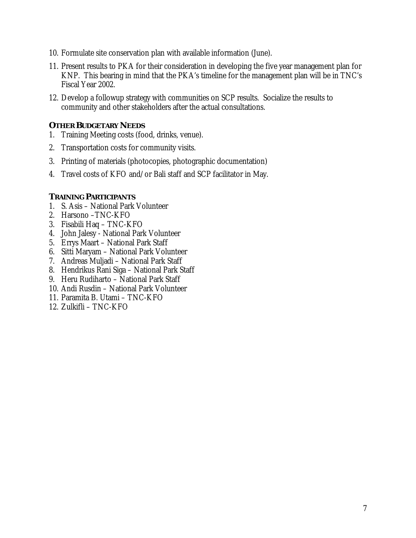- 10. Formulate site conservation plan with available information (June).
- 11. Present results to PKA for their consideration in developing the five year management plan for KNP. This bearing in mind that the PKA's timeline for the management plan will be in TNC's Fiscal Year 2002.
- 12. Develop a followup strategy with communities on SCP results. Socialize the results to community and other stakeholders after the actual consultations.

## **OTHER BUDGETARY NEEDS**

- 1. Training Meeting costs (food, drinks, venue).
- 2. Transportation costs for community visits.
- 3. Printing of materials (photocopies, photographic documentation)
- 4. Travel costs of KFO and/or Bali staff and SCP facilitator in May.

## **TRAINING PARTICIPANTS**

- 1. S. Asis National Park Volunteer
- 2. Harsono –TNC-KFO
- 3. Fisabili Haq TNC-KFO
- 4. John Jalesy National Park Volunteer
- 5. Errys Maart National Park Staff
- 6. Sitti Maryam National Park Volunteer
- 7. Andreas Muljadi National Park Staff
- 8. Hendrikus Rani Siga National Park Staff
- 9. Heru Rudiharto National Park Staff
- 10. Andi Rusdin National Park Volunteer
- 11. Paramita B. Utami TNC-KFO
- 12. Zulkifli TNC-KFO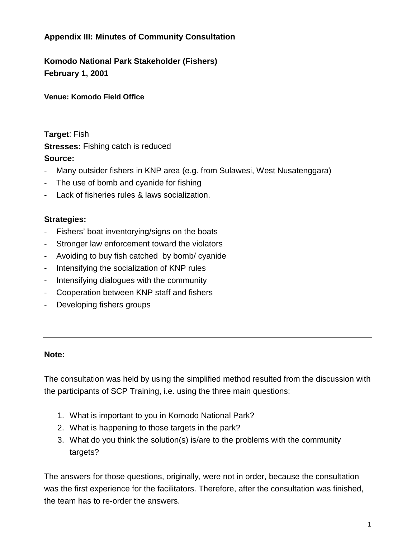## **Appendix III: Minutes of Community Consultation**

**Komodo National Park Stakeholder (Fishers) February 1, 2001**

## **Venue: Komodo Field Office**

**Target**: Fish **Stresses:** Fishing catch is reduced **Source:**

- Many outsider fishers in KNP area (e.g. from Sulawesi, West Nusatenggara)
- The use of bomb and cyanide for fishing
- Lack of fisheries rules & laws socialization.

## **Strategies:**

- Fishers' boat inventorying/signs on the boats
- Stronger law enforcement toward the violators
- Avoiding to buy fish catched by bomb/ cyanide
- Intensifying the socialization of KNP rules
- Intensifying dialogues with the community
- Cooperation between KNP staff and fishers
- Developing fishers groups

## **Note:**

The consultation was held by using the simplified method resulted from the discussion with the participants of SCP Training, i.e. using the three main questions:

- 1. What is important to you in Komodo National Park?
- 2. What is happening to those targets in the park?
- 3. What do you think the solution(s) is/are to the problems with the community targets?

The answers for those questions, originally, were not in order, because the consultation was the first experience for the facilitators. Therefore, after the consultation was finished, the team has to re-order the answers.